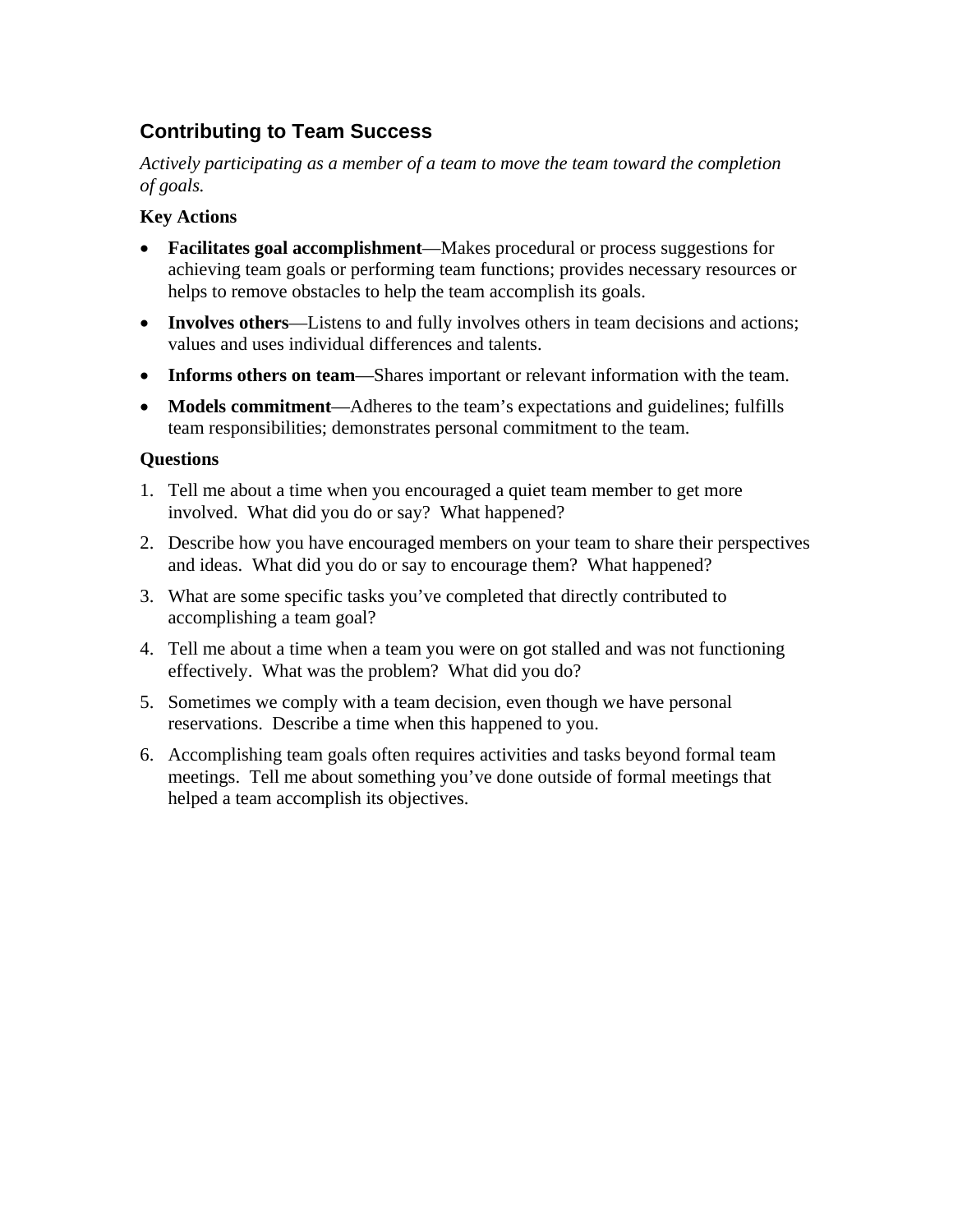## **Contributing to Team Success**

*Actively participating as a member of a team to move the team toward the completion of goals.* 

## **Key Actions**

- **Facilitates goal accomplishment**—Makes procedural or process suggestions for achieving team goals or performing team functions; provides necessary resources or helps to remove obstacles to help the team accomplish its goals.
- **Involves others**—Listens to and fully involves others in team decisions and actions; values and uses individual differences and talents.
- **Informs others on team**—Shares important or relevant information with the team.
- **Models commitment**—Adheres to the team's expectations and guidelines; fulfills team responsibilities; demonstrates personal commitment to the team.

## **Questions**

- 1. Tell me about a time when you encouraged a quiet team member to get more involved. What did you do or say? What happened?
- 2. Describe how you have encouraged members on your team to share their perspectives and ideas. What did you do or say to encourage them? What happened?
- 3. What are some specific tasks you've completed that directly contributed to accomplishing a team goal?
- 4. Tell me about a time when a team you were on got stalled and was not functioning effectively. What was the problem? What did you do?
- 5. Sometimes we comply with a team decision, even though we have personal reservations. Describe a time when this happened to you.
- 6. Accomplishing team goals often requires activities and tasks beyond formal team meetings. Tell me about something you've done outside of formal meetings that helped a team accomplish its objectives.